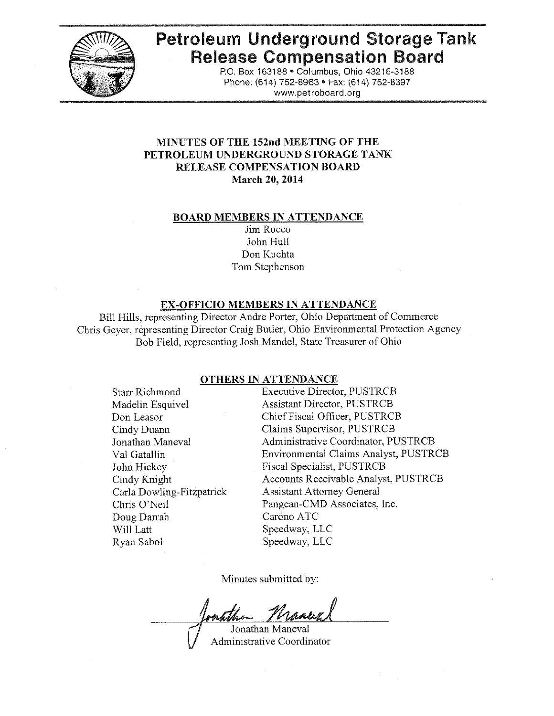

# Petroleum Underground Storage Tank Release Compensation Board

P.O. Box 163188· Columbus, Ohio 43216-3188 Phone: (614) 752-8963 • Fax: (614) 752-8397 www.petroboard.org

## MINUTES OF THE 152nd MEETING OF THE PETROLEUM UNDERGROUND STORAGE TANK RELEASE COMPENSATION BOARD March 20, 2014

#### BOARD MEMBERS IN ATTENDANCE

Jim Rocco John Hull Don Kuchta Tom Stephenson

#### EX-OFFICIO MEMBERS IN ATTENDANCE

Bill Hills, representing Director Andre Porter, Ohio Department of Commerce Chris Geyer, representing Director Craig Butler, Ohio Environmental Protection Agency Bob Field, representing Josh Mandel, State Treasurer of Ohio

#### OTHERS IN ATTENDANCE

Starr Richmond Madelin Esquivel Don Leasor Cindy Duann Jonathan Maneval Val Gatallin John Hickey Cindy Knight Carla Dowling-Fitzpatrick Chris O'Neil Doug Darrah Will Latt Ryan Sabol

Executive Director, PUSTRCB Assistant Director, PUSTRCB Chief Fiscal Officer, PUSTRCB Claims Supervisor, PUSTRCB Administrative Coordinator, PUSTRCB Environmental Claims Analyst, PUSTRCB Fiscal Specialist, PUSTRCB Accounts Receivable Analyst, PUSTRCB Assistant Attorney General Pangean-CMD Associates, Inc. Cardno ATC Speedway, LLC Speedway, LLC

Minutes submitted by:

.Tonathan Maneval Administrative Coordinator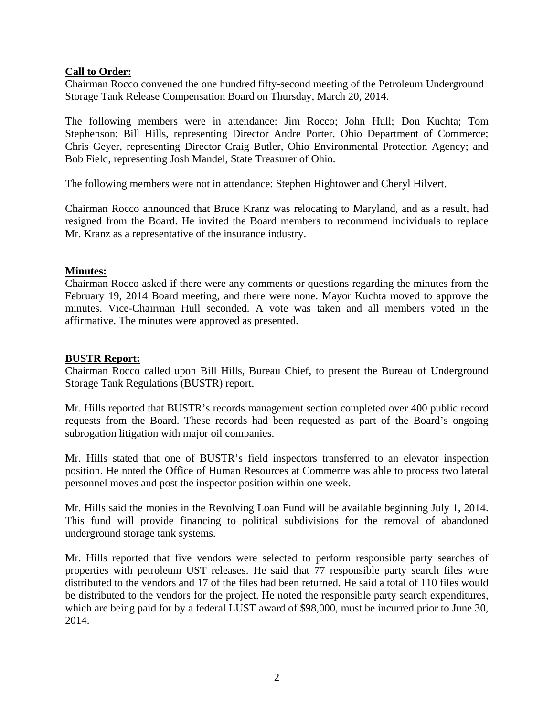## **Call to Order:**

Chairman Rocco convened the one hundred fifty-second meeting of the Petroleum Underground Storage Tank Release Compensation Board on Thursday, March 20, 2014.

The following members were in attendance: Jim Rocco; John Hull; Don Kuchta; Tom Stephenson; Bill Hills, representing Director Andre Porter, Ohio Department of Commerce; Chris Geyer, representing Director Craig Butler, Ohio Environmental Protection Agency; and Bob Field, representing Josh Mandel, State Treasurer of Ohio.

The following members were not in attendance: Stephen Hightower and Cheryl Hilvert.

Chairman Rocco announced that Bruce Kranz was relocating to Maryland, and as a result, had resigned from the Board. He invited the Board members to recommend individuals to replace Mr. Kranz as a representative of the insurance industry.

## **Minutes:**

Chairman Rocco asked if there were any comments or questions regarding the minutes from the February 19, 2014 Board meeting, and there were none. Mayor Kuchta moved to approve the minutes. Vice-Chairman Hull seconded. A vote was taken and all members voted in the affirmative. The minutes were approved as presented.

## **BUSTR Report:**

Chairman Rocco called upon Bill Hills, Bureau Chief, to present the Bureau of Underground Storage Tank Regulations (BUSTR) report.

Mr. Hills reported that BUSTR's records management section completed over 400 public record requests from the Board. These records had been requested as part of the Board's ongoing subrogation litigation with major oil companies.

Mr. Hills stated that one of BUSTR's field inspectors transferred to an elevator inspection position. He noted the Office of Human Resources at Commerce was able to process two lateral personnel moves and post the inspector position within one week.

Mr. Hills said the monies in the Revolving Loan Fund will be available beginning July 1, 2014. This fund will provide financing to political subdivisions for the removal of abandoned underground storage tank systems.

Mr. Hills reported that five vendors were selected to perform responsible party searches of properties with petroleum UST releases. He said that 77 responsible party search files were distributed to the vendors and 17 of the files had been returned. He said a total of 110 files would be distributed to the vendors for the project. He noted the responsible party search expenditures, which are being paid for by a federal LUST award of \$98,000, must be incurred prior to June 30, 2014.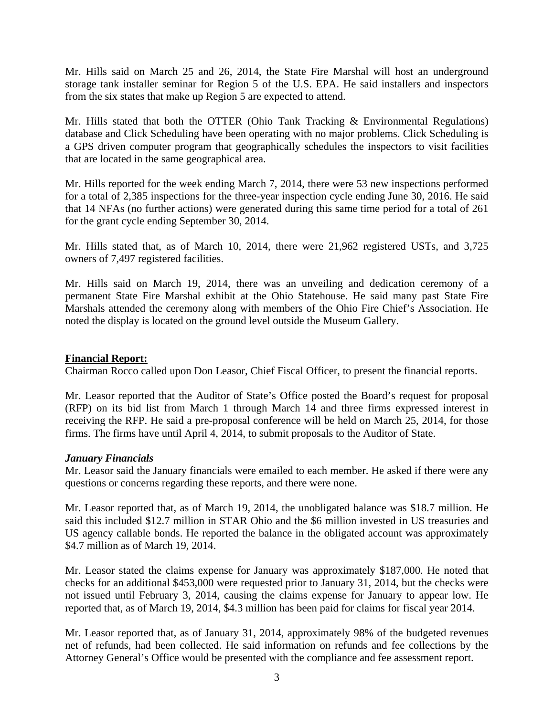Mr. Hills said on March 25 and 26, 2014, the State Fire Marshal will host an underground storage tank installer seminar for Region 5 of the U.S. EPA. He said installers and inspectors from the six states that make up Region 5 are expected to attend.

Mr. Hills stated that both the OTTER (Ohio Tank Tracking & Environmental Regulations) database and Click Scheduling have been operating with no major problems. Click Scheduling is a GPS driven computer program that geographically schedules the inspectors to visit facilities that are located in the same geographical area.

Mr. Hills reported for the week ending March 7, 2014, there were 53 new inspections performed for a total of 2,385 inspections for the three-year inspection cycle ending June 30, 2016. He said that 14 NFAs (no further actions) were generated during this same time period for a total of 261 for the grant cycle ending September 30, 2014.

Mr. Hills stated that, as of March 10, 2014, there were 21,962 registered USTs, and 3,725 owners of 7,497 registered facilities.

Mr. Hills said on March 19, 2014, there was an unveiling and dedication ceremony of a permanent State Fire Marshal exhibit at the Ohio Statehouse. He said many past State Fire Marshals attended the ceremony along with members of the Ohio Fire Chief's Association. He noted the display is located on the ground level outside the Museum Gallery.

## **Financial Report:**

Chairman Rocco called upon Don Leasor, Chief Fiscal Officer, to present the financial reports.

Mr. Leasor reported that the Auditor of State's Office posted the Board's request for proposal (RFP) on its bid list from March 1 through March 14 and three firms expressed interest in receiving the RFP. He said a pre-proposal conference will be held on March 25, 2014, for those firms. The firms have until April 4, 2014, to submit proposals to the Auditor of State.

## *January Financials*

Mr. Leasor said the January financials were emailed to each member. He asked if there were any questions or concerns regarding these reports, and there were none.

Mr. Leasor reported that, as of March 19, 2014, the unobligated balance was \$18.7 million. He said this included \$12.7 million in STAR Ohio and the \$6 million invested in US treasuries and US agency callable bonds. He reported the balance in the obligated account was approximately \$4.7 million as of March 19, 2014.

Mr. Leasor stated the claims expense for January was approximately \$187,000. He noted that checks for an additional \$453,000 were requested prior to January 31, 2014, but the checks were not issued until February 3, 2014, causing the claims expense for January to appear low. He reported that, as of March 19, 2014, \$4.3 million has been paid for claims for fiscal year 2014.

Mr. Leasor reported that, as of January 31, 2014, approximately 98% of the budgeted revenues net of refunds, had been collected. He said information on refunds and fee collections by the Attorney General's Office would be presented with the compliance and fee assessment report.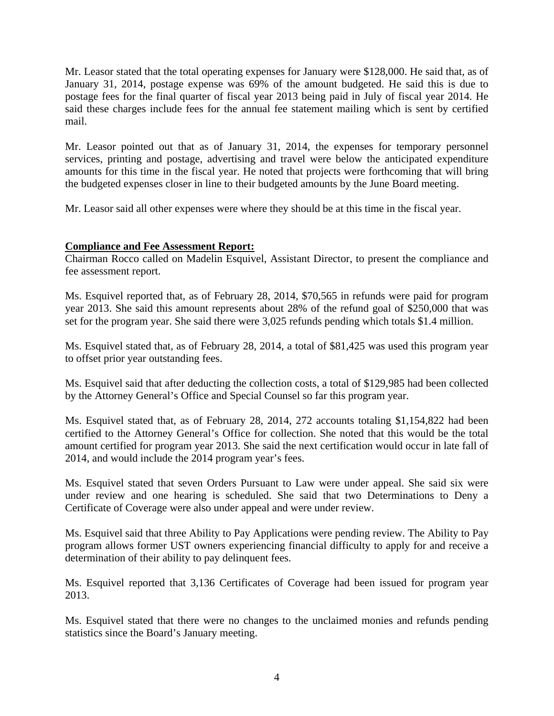Mr. Leasor stated that the total operating expenses for January were \$128,000. He said that, as of January 31, 2014, postage expense was 69% of the amount budgeted. He said this is due to postage fees for the final quarter of fiscal year 2013 being paid in July of fiscal year 2014. He said these charges include fees for the annual fee statement mailing which is sent by certified mail.

Mr. Leasor pointed out that as of January 31, 2014, the expenses for temporary personnel services, printing and postage, advertising and travel were below the anticipated expenditure amounts for this time in the fiscal year. He noted that projects were forthcoming that will bring the budgeted expenses closer in line to their budgeted amounts by the June Board meeting.

Mr. Leasor said all other expenses were where they should be at this time in the fiscal year.

# **Compliance and Fee Assessment Report:**

Chairman Rocco called on Madelin Esquivel, Assistant Director, to present the compliance and fee assessment report.

Ms. Esquivel reported that, as of February 28, 2014, \$70,565 in refunds were paid for program year 2013. She said this amount represents about 28% of the refund goal of \$250,000 that was set for the program year. She said there were 3,025 refunds pending which totals \$1.4 million.

Ms. Esquivel stated that, as of February 28, 2014, a total of \$81,425 was used this program year to offset prior year outstanding fees.

Ms. Esquivel said that after deducting the collection costs, a total of \$129,985 had been collected by the Attorney General's Office and Special Counsel so far this program year.

Ms. Esquivel stated that, as of February 28, 2014, 272 accounts totaling \$1,154,822 had been certified to the Attorney General's Office for collection. She noted that this would be the total amount certified for program year 2013. She said the next certification would occur in late fall of 2014, and would include the 2014 program year's fees.

Ms. Esquivel stated that seven Orders Pursuant to Law were under appeal. She said six were under review and one hearing is scheduled. She said that two Determinations to Deny a Certificate of Coverage were also under appeal and were under review.

Ms. Esquivel said that three Ability to Pay Applications were pending review. The Ability to Pay program allows former UST owners experiencing financial difficulty to apply for and receive a determination of their ability to pay delinquent fees.

Ms. Esquivel reported that 3,136 Certificates of Coverage had been issued for program year 2013.

Ms. Esquivel stated that there were no changes to the unclaimed monies and refunds pending statistics since the Board's January meeting.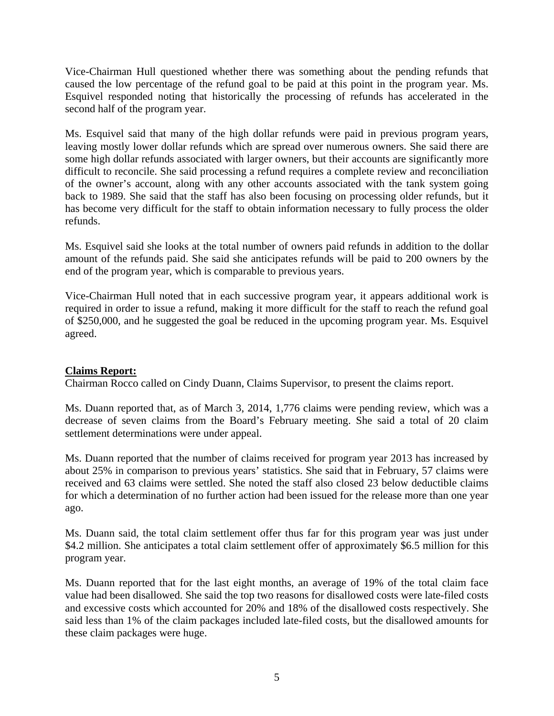Vice-Chairman Hull questioned whether there was something about the pending refunds that caused the low percentage of the refund goal to be paid at this point in the program year. Ms. Esquivel responded noting that historically the processing of refunds has accelerated in the second half of the program year.

Ms. Esquivel said that many of the high dollar refunds were paid in previous program years, leaving mostly lower dollar refunds which are spread over numerous owners. She said there are some high dollar refunds associated with larger owners, but their accounts are significantly more difficult to reconcile. She said processing a refund requires a complete review and reconciliation of the owner's account, along with any other accounts associated with the tank system going back to 1989. She said that the staff has also been focusing on processing older refunds, but it has become very difficult for the staff to obtain information necessary to fully process the older refunds.

Ms. Esquivel said she looks at the total number of owners paid refunds in addition to the dollar amount of the refunds paid. She said she anticipates refunds will be paid to 200 owners by the end of the program year, which is comparable to previous years.

Vice-Chairman Hull noted that in each successive program year, it appears additional work is required in order to issue a refund, making it more difficult for the staff to reach the refund goal of \$250,000, and he suggested the goal be reduced in the upcoming program year. Ms. Esquivel agreed.

# **Claims Report:**

Chairman Rocco called on Cindy Duann, Claims Supervisor, to present the claims report.

Ms. Duann reported that, as of March 3, 2014, 1,776 claims were pending review, which was a decrease of seven claims from the Board's February meeting. She said a total of 20 claim settlement determinations were under appeal.

Ms. Duann reported that the number of claims received for program year 2013 has increased by about 25% in comparison to previous years' statistics. She said that in February, 57 claims were received and 63 claims were settled. She noted the staff also closed 23 below deductible claims for which a determination of no further action had been issued for the release more than one year ago.

Ms. Duann said, the total claim settlement offer thus far for this program year was just under \$4.2 million. She anticipates a total claim settlement offer of approximately \$6.5 million for this program year.

Ms. Duann reported that for the last eight months, an average of 19% of the total claim face value had been disallowed. She said the top two reasons for disallowed costs were late-filed costs and excessive costs which accounted for 20% and 18% of the disallowed costs respectively. She said less than 1% of the claim packages included late-filed costs, but the disallowed amounts for these claim packages were huge.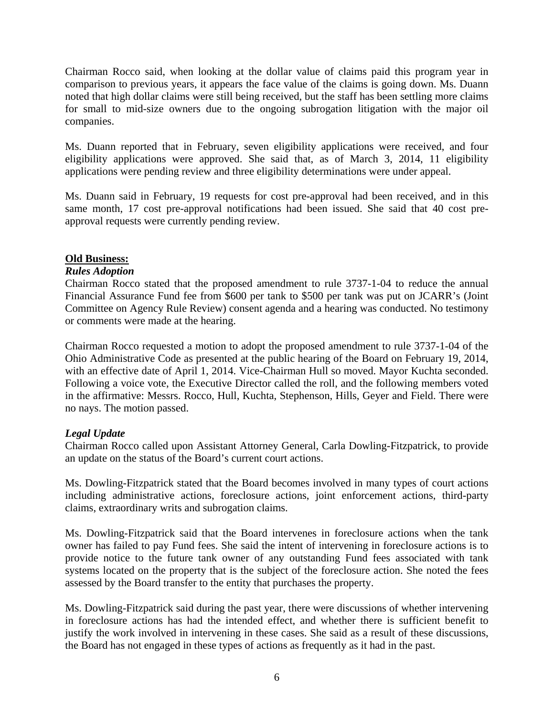Chairman Rocco said, when looking at the dollar value of claims paid this program year in comparison to previous years, it appears the face value of the claims is going down. Ms. Duann noted that high dollar claims were still being received, but the staff has been settling more claims for small to mid-size owners due to the ongoing subrogation litigation with the major oil companies.

Ms. Duann reported that in February, seven eligibility applications were received, and four eligibility applications were approved. She said that, as of March 3, 2014, 11 eligibility applications were pending review and three eligibility determinations were under appeal.

Ms. Duann said in February, 19 requests for cost pre-approval had been received, and in this same month, 17 cost pre-approval notifications had been issued. She said that 40 cost preapproval requests were currently pending review.

## **Old Business:**

## *Rules Adoption*

Chairman Rocco stated that the proposed amendment to rule 3737-1-04 to reduce the annual Financial Assurance Fund fee from \$600 per tank to \$500 per tank was put on JCARR's (Joint Committee on Agency Rule Review) consent agenda and a hearing was conducted. No testimony or comments were made at the hearing.

Chairman Rocco requested a motion to adopt the proposed amendment to rule 3737-1-04 of the Ohio Administrative Code as presented at the public hearing of the Board on February 19, 2014, with an effective date of April 1, 2014. Vice-Chairman Hull so moved. Mayor Kuchta seconded. Following a voice vote, the Executive Director called the roll, and the following members voted in the affirmative: Messrs. Rocco, Hull, Kuchta, Stephenson, Hills, Geyer and Field. There were no nays. The motion passed.

# *Legal Update*

Chairman Rocco called upon Assistant Attorney General, Carla Dowling-Fitzpatrick, to provide an update on the status of the Board's current court actions.

Ms. Dowling-Fitzpatrick stated that the Board becomes involved in many types of court actions including administrative actions, foreclosure actions, joint enforcement actions, third-party claims, extraordinary writs and subrogation claims.

Ms. Dowling-Fitzpatrick said that the Board intervenes in foreclosure actions when the tank owner has failed to pay Fund fees. She said the intent of intervening in foreclosure actions is to provide notice to the future tank owner of any outstanding Fund fees associated with tank systems located on the property that is the subject of the foreclosure action. She noted the fees assessed by the Board transfer to the entity that purchases the property.

Ms. Dowling-Fitzpatrick said during the past year, there were discussions of whether intervening in foreclosure actions has had the intended effect, and whether there is sufficient benefit to justify the work involved in intervening in these cases. She said as a result of these discussions, the Board has not engaged in these types of actions as frequently as it had in the past.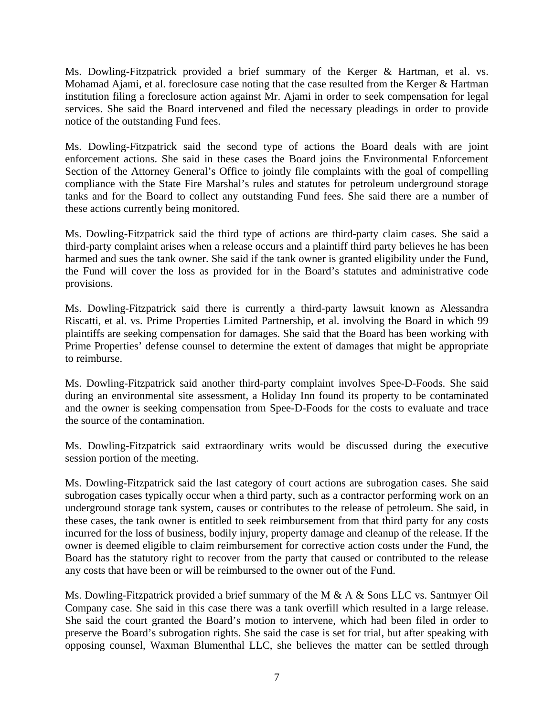Ms. Dowling-Fitzpatrick provided a brief summary of the Kerger & Hartman, et al. vs. Mohamad Ajami, et al. foreclosure case noting that the case resulted from the Kerger & Hartman institution filing a foreclosure action against Mr. Ajami in order to seek compensation for legal services. She said the Board intervened and filed the necessary pleadings in order to provide notice of the outstanding Fund fees.

Ms. Dowling-Fitzpatrick said the second type of actions the Board deals with are joint enforcement actions. She said in these cases the Board joins the Environmental Enforcement Section of the Attorney General's Office to jointly file complaints with the goal of compelling compliance with the State Fire Marshal's rules and statutes for petroleum underground storage tanks and for the Board to collect any outstanding Fund fees. She said there are a number of these actions currently being monitored.

Ms. Dowling-Fitzpatrick said the third type of actions are third-party claim cases. She said a third-party complaint arises when a release occurs and a plaintiff third party believes he has been harmed and sues the tank owner. She said if the tank owner is granted eligibility under the Fund, the Fund will cover the loss as provided for in the Board's statutes and administrative code provisions.

Ms. Dowling-Fitzpatrick said there is currently a third-party lawsuit known as Alessandra Riscatti, et al. vs. Prime Properties Limited Partnership, et al. involving the Board in which 99 plaintiffs are seeking compensation for damages. She said that the Board has been working with Prime Properties' defense counsel to determine the extent of damages that might be appropriate to reimburse.

Ms. Dowling-Fitzpatrick said another third-party complaint involves Spee-D-Foods. She said during an environmental site assessment, a Holiday Inn found its property to be contaminated and the owner is seeking compensation from Spee-D-Foods for the costs to evaluate and trace the source of the contamination.

Ms. Dowling-Fitzpatrick said extraordinary writs would be discussed during the executive session portion of the meeting.

Ms. Dowling-Fitzpatrick said the last category of court actions are subrogation cases. She said subrogation cases typically occur when a third party, such as a contractor performing work on an underground storage tank system, causes or contributes to the release of petroleum. She said, in these cases, the tank owner is entitled to seek reimbursement from that third party for any costs incurred for the loss of business, bodily injury, property damage and cleanup of the release. If the owner is deemed eligible to claim reimbursement for corrective action costs under the Fund, the Board has the statutory right to recover from the party that caused or contributed to the release any costs that have been or will be reimbursed to the owner out of the Fund.

Ms. Dowling-Fitzpatrick provided a brief summary of the M & A & Sons LLC vs. Santmyer Oil Company case. She said in this case there was a tank overfill which resulted in a large release. She said the court granted the Board's motion to intervene, which had been filed in order to preserve the Board's subrogation rights. She said the case is set for trial, but after speaking with opposing counsel, Waxman Blumenthal LLC, she believes the matter can be settled through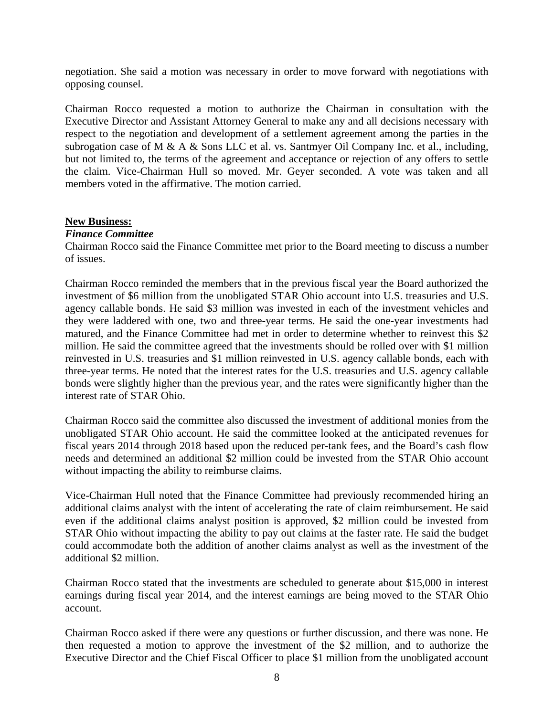negotiation. She said a motion was necessary in order to move forward with negotiations with opposing counsel.

Chairman Rocco requested a motion to authorize the Chairman in consultation with the Executive Director and Assistant Attorney General to make any and all decisions necessary with respect to the negotiation and development of a settlement agreement among the parties in the subrogation case of M & A & Sons LLC et al. vs. Santmyer Oil Company Inc. et al., including, but not limited to, the terms of the agreement and acceptance or rejection of any offers to settle the claim. Vice-Chairman Hull so moved. Mr. Geyer seconded. A vote was taken and all members voted in the affirmative. The motion carried.

#### **New Business:**

### *Finance Committee*

Chairman Rocco said the Finance Committee met prior to the Board meeting to discuss a number of issues.

Chairman Rocco reminded the members that in the previous fiscal year the Board authorized the investment of \$6 million from the unobligated STAR Ohio account into U.S. treasuries and U.S. agency callable bonds. He said \$3 million was invested in each of the investment vehicles and they were laddered with one, two and three-year terms. He said the one-year investments had matured, and the Finance Committee had met in order to determine whether to reinvest this \$2 million. He said the committee agreed that the investments should be rolled over with \$1 million reinvested in U.S. treasuries and \$1 million reinvested in U.S. agency callable bonds, each with three-year terms. He noted that the interest rates for the U.S. treasuries and U.S. agency callable bonds were slightly higher than the previous year, and the rates were significantly higher than the interest rate of STAR Ohio.

Chairman Rocco said the committee also discussed the investment of additional monies from the unobligated STAR Ohio account. He said the committee looked at the anticipated revenues for fiscal years 2014 through 2018 based upon the reduced per-tank fees, and the Board's cash flow needs and determined an additional \$2 million could be invested from the STAR Ohio account without impacting the ability to reimburse claims.

Vice-Chairman Hull noted that the Finance Committee had previously recommended hiring an additional claims analyst with the intent of accelerating the rate of claim reimbursement. He said even if the additional claims analyst position is approved, \$2 million could be invested from STAR Ohio without impacting the ability to pay out claims at the faster rate. He said the budget could accommodate both the addition of another claims analyst as well as the investment of the additional \$2 million.

Chairman Rocco stated that the investments are scheduled to generate about \$15,000 in interest earnings during fiscal year 2014, and the interest earnings are being moved to the STAR Ohio account.

Chairman Rocco asked if there were any questions or further discussion, and there was none. He then requested a motion to approve the investment of the \$2 million, and to authorize the Executive Director and the Chief Fiscal Officer to place \$1 million from the unobligated account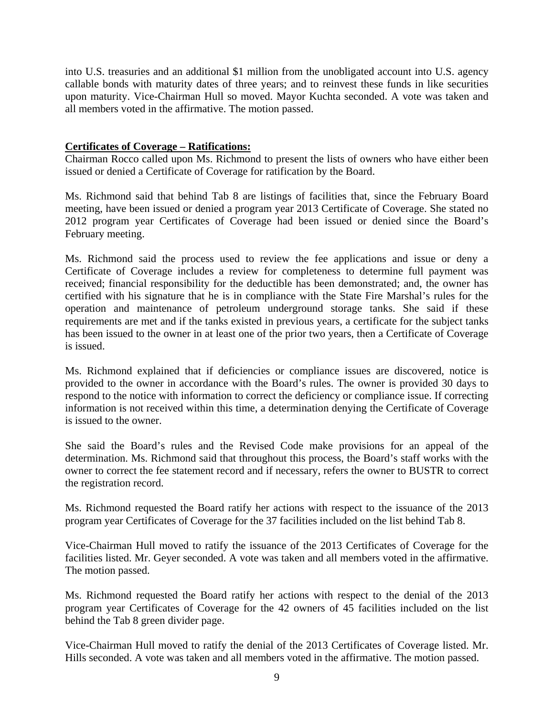into U.S. treasuries and an additional \$1 million from the unobligated account into U.S. agency callable bonds with maturity dates of three years; and to reinvest these funds in like securities upon maturity. Vice-Chairman Hull so moved. Mayor Kuchta seconded. A vote was taken and all members voted in the affirmative. The motion passed.

## **Certificates of Coverage – Ratifications:**

Chairman Rocco called upon Ms. Richmond to present the lists of owners who have either been issued or denied a Certificate of Coverage for ratification by the Board.

Ms. Richmond said that behind Tab 8 are listings of facilities that, since the February Board meeting, have been issued or denied a program year 2013 Certificate of Coverage. She stated no 2012 program year Certificates of Coverage had been issued or denied since the Board's February meeting.

Ms. Richmond said the process used to review the fee applications and issue or deny a Certificate of Coverage includes a review for completeness to determine full payment was received; financial responsibility for the deductible has been demonstrated; and, the owner has certified with his signature that he is in compliance with the State Fire Marshal's rules for the operation and maintenance of petroleum underground storage tanks. She said if these requirements are met and if the tanks existed in previous years, a certificate for the subject tanks has been issued to the owner in at least one of the prior two years, then a Certificate of Coverage is issued.

Ms. Richmond explained that if deficiencies or compliance issues are discovered, notice is provided to the owner in accordance with the Board's rules. The owner is provided 30 days to respond to the notice with information to correct the deficiency or compliance issue. If correcting information is not received within this time, a determination denying the Certificate of Coverage is issued to the owner.

She said the Board's rules and the Revised Code make provisions for an appeal of the determination. Ms. Richmond said that throughout this process, the Board's staff works with the owner to correct the fee statement record and if necessary, refers the owner to BUSTR to correct the registration record.

Ms. Richmond requested the Board ratify her actions with respect to the issuance of the 2013 program year Certificates of Coverage for the 37 facilities included on the list behind Tab 8.

Vice-Chairman Hull moved to ratify the issuance of the 2013 Certificates of Coverage for the facilities listed. Mr. Geyer seconded. A vote was taken and all members voted in the affirmative. The motion passed.

Ms. Richmond requested the Board ratify her actions with respect to the denial of the 2013 program year Certificates of Coverage for the 42 owners of 45 facilities included on the list behind the Tab 8 green divider page.

Vice-Chairman Hull moved to ratify the denial of the 2013 Certificates of Coverage listed. Mr. Hills seconded. A vote was taken and all members voted in the affirmative. The motion passed.